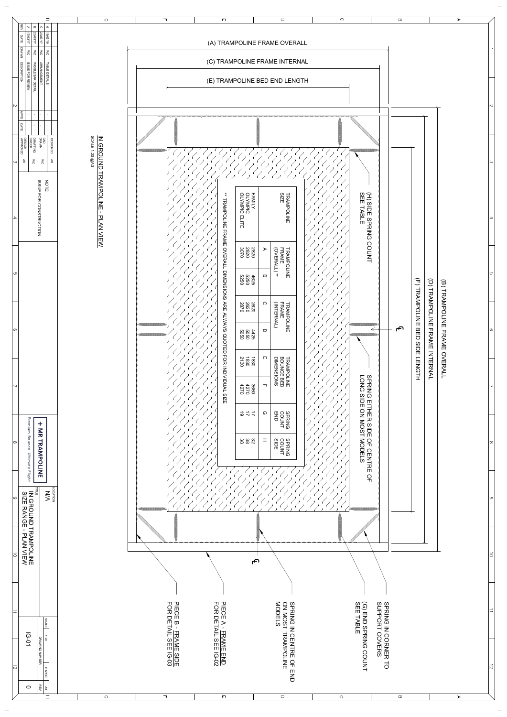